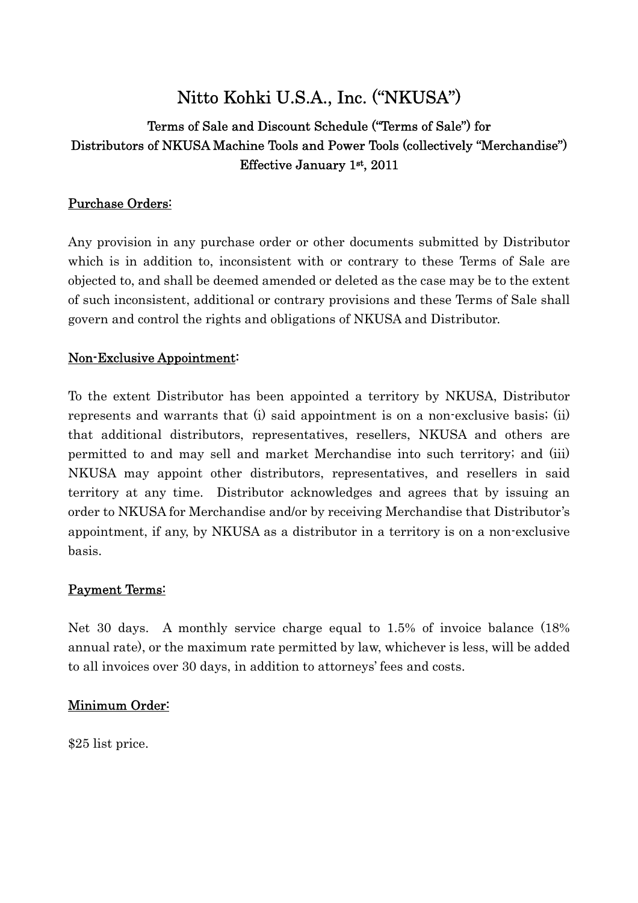# Nitto Kohki U.S.A., Inc. ("NKUSA")

# Terms of Sale and Discount Schedule ("Terms of Sale") for Distributors of NKUSA Machine Tools and Power Tools (collectively "Merchandise") Effective January 1st , 2011

# Purchase Orders:

Any provision in any purchase order or other documents submitted by Distributor which is in addition to, inconsistent with or contrary to these Terms of Sale are objected to, and shall be deemed amended or deleted as the case may be to the extent of such inconsistent, additional or contrary provisions and these Terms of Sale shall govern and control the rights and obligations of NKUSA and Distributor.

# Non-Exclusive Appointment:

To the extent Distributor has been appointed a territory by NKUSA, Distributor represents and warrants that (i) said appointment is on a non-exclusive basis; (ii) that additional distributors, representatives, resellers, NKUSA and others are permitted to and may sell and market Merchandise into such territory; and (iii) NKUSA may appoint other distributors, representatives, and resellers in said territory at any time. Distributor acknowledges and agrees that by issuing an order to NKUSA for Merchandise and/or by receiving Merchandise that Distributor's appointment, if any, by NKUSA as a distributor in a territory is on a non-exclusive basis.

## Payment Terms:

Net 30 days. A monthly service charge equal to 1.5% of invoice balance (18% annual rate), or the maximum rate permitted by law, whichever is less, will be added to all invoices over 30 days, in addition to attorneys' fees and costs.

## Minimum Order:

\$25 list price.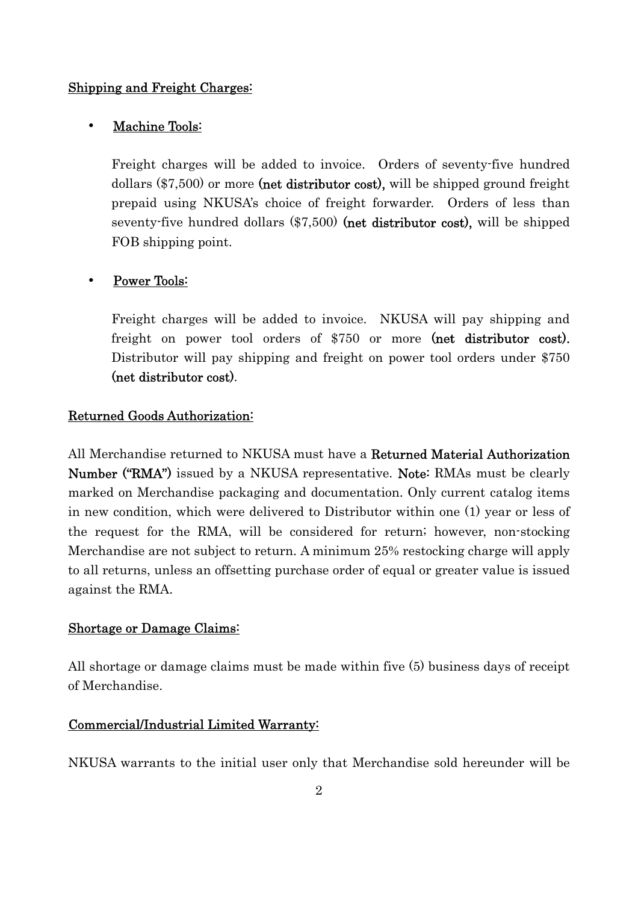#### Shipping and Freight Charges:

#### Machine Tools:

 Freight charges will be added to invoice. Orders of seventy-five hundred dollars (\$7,500) or more (net distributor cost), will be shipped ground freight prepaid using NKUSA's choice of freight forwarder. Orders of less than seventy-five hundred dollars (\$7,500) (net distributor cost), will be shipped FOB shipping point.

## Power Tools:

 Freight charges will be added to invoice. NKUSA will pay shipping and freight on power tool orders of \$750 or more (net distributor cost). Distributor will pay shipping and freight on power tool orders under \$750 (net distributor cost).

#### Returned Goods Authorization:

All Merchandise returned to NKUSA must have a Returned Material Authorization Number ("RMA") issued by a NKUSA representative. Note: RMAs must be clearly marked on Merchandise packaging and documentation. Only current catalog items in new condition, which were delivered to Distributor within one (1) year or less of the request for the RMA, will be considered for return; however, non-stocking Merchandise are not subject to return. A minimum 25% restocking charge will apply to all returns, unless an offsetting purchase order of equal or greater value is issued against the RMA.

#### Shortage or Damage Claims:

All shortage or damage claims must be made within five (5) business days of receipt of Merchandise.

#### Commercial/Industrial Limited Warranty:

NKUSA warrants to the initial user only that Merchandise sold hereunder will be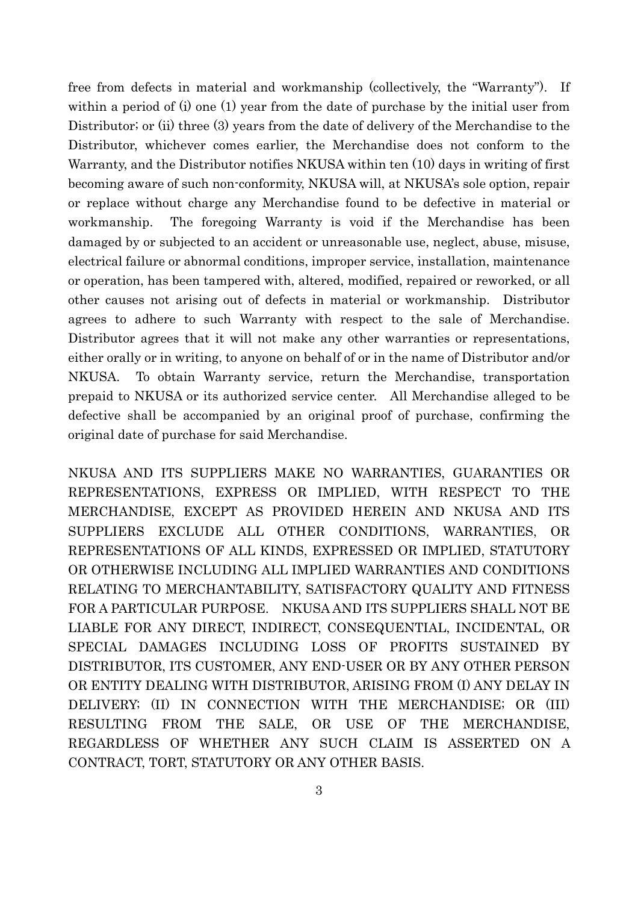free from defects in material and workmanship (collectively, the "Warranty"). If within a period of (i) one (1) year from the date of purchase by the initial user from Distributor; or (ii) three (3) years from the date of delivery of the Merchandise to the Distributor, whichever comes earlier, the Merchandise does not conform to the Warranty, and the Distributor notifies NKUSA within ten (10) days in writing of first becoming aware of such non-conformity, NKUSA will, at NKUSA's sole option, repair or replace without charge any Merchandise found to be defective in material or workmanship. The foregoing Warranty is void if the Merchandise has been damaged by or subjected to an accident or unreasonable use, neglect, abuse, misuse, electrical failure or abnormal conditions, improper service, installation, maintenance or operation, has been tampered with, altered, modified, repaired or reworked, or all other causes not arising out of defects in material or workmanship. Distributor agrees to adhere to such Warranty with respect to the sale of Merchandise. Distributor agrees that it will not make any other warranties or representations, either orally or in writing, to anyone on behalf of or in the name of Distributor and/or NKUSA. To obtain Warranty service, return the Merchandise, transportation prepaid to NKUSA or its authorized service center. All Merchandise alleged to be defective shall be accompanied by an original proof of purchase, confirming the original date of purchase for said Merchandise.

NKUSA AND ITS SUPPLIERS MAKE NO WARRANTIES, GUARANTIES OR REPRESENTATIONS, EXPRESS OR IMPLIED, WITH RESPECT TO THE MERCHANDISE, EXCEPT AS PROVIDED HEREIN AND NKUSA AND ITS SUPPLIERS EXCLUDE ALL OTHER CONDITIONS, WARRANTIES, OR REPRESENTATIONS OF ALL KINDS, EXPRESSED OR IMPLIED, STATUTORY OR OTHERWISE INCLUDING ALL IMPLIED WARRANTIES AND CONDITIONS RELATING TO MERCHANTABILITY, SATISFACTORY QUALITY AND FITNESS FOR A PARTICULAR PURPOSE. NKUSA AND ITS SUPPLIERS SHALL NOT BE LIABLE FOR ANY DIRECT, INDIRECT, CONSEQUENTIAL, INCIDENTAL, OR SPECIAL DAMAGES INCLUDING LOSS OF PROFITS SUSTAINED BY DISTRIBUTOR, ITS CUSTOMER, ANY END-USER OR BY ANY OTHER PERSON OR ENTITY DEALING WITH DISTRIBUTOR, ARISING FROM (I) ANY DELAY IN DELIVERY; (II) IN CONNECTION WITH THE MERCHANDISE; OR (III) RESULTING FROM THE SALE, OR USE OF THE MERCHANDISE, REGARDLESS OF WHETHER ANY SUCH CLAIM IS ASSERTED ON A CONTRACT, TORT, STATUTORY OR ANY OTHER BASIS.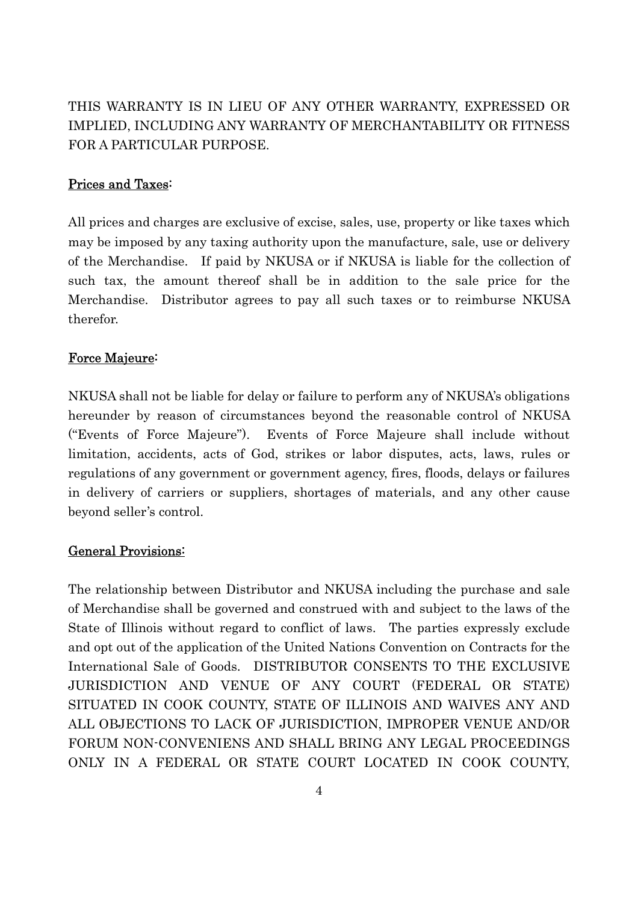THIS WARRANTY IS IN LIEU OF ANY OTHER WARRANTY, EXPRESSED OR IMPLIED, INCLUDING ANY WARRANTY OF MERCHANTABILITY OR FITNESS FOR A PARTICULAR PURPOSE.

#### Prices and Taxes:

All prices and charges are exclusive of excise, sales, use, property or like taxes which may be imposed by any taxing authority upon the manufacture, sale, use or delivery of the Merchandise. If paid by NKUSA or if NKUSA is liable for the collection of such tax, the amount thereof shall be in addition to the sale price for the Merchandise. Distributor agrees to pay all such taxes or to reimburse NKUSA therefor.

#### Force Majeure:

NKUSA shall not be liable for delay or failure to perform any of NKUSA's obligations hereunder by reason of circumstances beyond the reasonable control of NKUSA ("Events of Force Majeure"). Events of Force Majeure shall include without limitation, accidents, acts of God, strikes or labor disputes, acts, laws, rules or regulations of any government or government agency, fires, floods, delays or failures in delivery of carriers or suppliers, shortages of materials, and any other cause beyond seller's control.

#### General Provisions:

The relationship between Distributor and NKUSA including the purchase and sale of Merchandise shall be governed and construed with and subject to the laws of the State of Illinois without regard to conflict of laws. The parties expressly exclude and opt out of the application of the United Nations Convention on Contracts for the International Sale of Goods. DISTRIBUTOR CONSENTS TO THE EXCLUSIVE JURISDICTION AND VENUE OF ANY COURT (FEDERAL OR STATE) SITUATED IN COOK COUNTY, STATE OF ILLINOIS AND WAIVES ANY AND ALL OBJECTIONS TO LACK OF JURISDICTION, IMPROPER VENUE AND/OR FORUM NON-CONVENIENS AND SHALL BRING ANY LEGAL PROCEEDINGS ONLY IN A FEDERAL OR STATE COURT LOCATED IN COOK COUNTY,